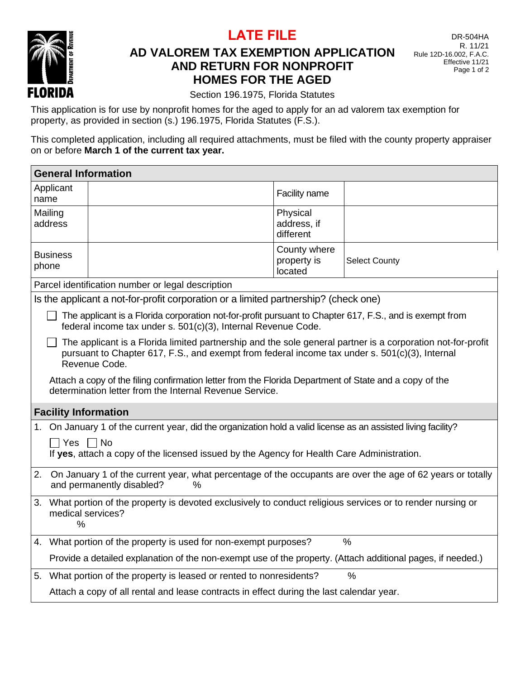**LATE FILE**



# **AD VALOREM TAX EXEMPTION APPLICATION AND RETURN FOR NONPROFIT HOMES FOR THE AGED**

DR-504HA R. 11/21 Rule 12D-16.002, F.A.C. Effective 11/21 Page 1 of 2

Section 196.1975, Florida Statutes

This application is for use by nonprofit homes for the aged to apply for an ad valorem tax exemption for property, as provided in section (s.) 196.1975, Florida Statutes (F.S.).

This completed application, including all required attachments, must be filed with the county property appraiser on or before **March 1 of the current tax year.**

| <b>General Information</b>                                                                                                                                                                                                     |                                                                                                                                                                   |                                        |                      |  |  |
|--------------------------------------------------------------------------------------------------------------------------------------------------------------------------------------------------------------------------------|-------------------------------------------------------------------------------------------------------------------------------------------------------------------|----------------------------------------|----------------------|--|--|
| Applicant<br>name                                                                                                                                                                                                              |                                                                                                                                                                   | Facility name                          |                      |  |  |
| Mailing<br>address                                                                                                                                                                                                             |                                                                                                                                                                   | Physical<br>address, if<br>different   |                      |  |  |
| <b>Business</b><br>phone                                                                                                                                                                                                       |                                                                                                                                                                   | County where<br>property is<br>located | <b>Select County</b> |  |  |
| Parcel identification number or legal description                                                                                                                                                                              |                                                                                                                                                                   |                                        |                      |  |  |
| Is the applicant a not-for-profit corporation or a limited partnership? (check one)                                                                                                                                            |                                                                                                                                                                   |                                        |                      |  |  |
| The applicant is a Florida corporation not-for-profit pursuant to Chapter 617, F.S., and is exempt from<br>federal income tax under s. 501(c)(3), Internal Revenue Code.                                                       |                                                                                                                                                                   |                                        |                      |  |  |
| The applicant is a Florida limited partnership and the sole general partner is a corporation not-for-profit<br>pursuant to Chapter 617, F.S., and exempt from federal income tax under s. 501(c)(3), Internal<br>Revenue Code. |                                                                                                                                                                   |                                        |                      |  |  |
|                                                                                                                                                                                                                                | Attach a copy of the filing confirmation letter from the Florida Department of State and a copy of the<br>determination letter from the Internal Revenue Service. |                                        |                      |  |  |
| <b>Facility Information</b>                                                                                                                                                                                                    |                                                                                                                                                                   |                                        |                      |  |  |
| On January 1 of the current year, did the organization hold a valid license as an assisted living facility?<br>1.                                                                                                              |                                                                                                                                                                   |                                        |                      |  |  |
| $\Box$ Yes $\Box$ No                                                                                                                                                                                                           | If yes, attach a copy of the licensed issued by the Agency for Health Care Administration.                                                                        |                                        |                      |  |  |
| 2.                                                                                                                                                                                                                             | On January 1 of the current year, what percentage of the occupants are over the age of 62 years or totally<br>and permanently disabled?<br>$\%$                   |                                        |                      |  |  |
| %                                                                                                                                                                                                                              | 3. What portion of the property is devoted exclusively to conduct religious services or to render nursing or<br>medical services?                                 |                                        |                      |  |  |
|                                                                                                                                                                                                                                | 4. What portion of the property is used for non-exempt purposes?                                                                                                  |                                        | $\frac{0}{0}$        |  |  |
|                                                                                                                                                                                                                                | Provide a detailed explanation of the non-exempt use of the property. (Attach additional pages, if needed.)                                                       |                                        |                      |  |  |
|                                                                                                                                                                                                                                | 5. What portion of the property is leased or rented to nonresidents?                                                                                              |                                        | $\frac{0}{0}$        |  |  |
|                                                                                                                                                                                                                                | Attach a copy of all rental and lease contracts in effect during the last calendar year.                                                                          |                                        |                      |  |  |